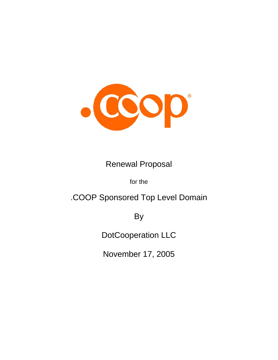

## Renewal Proposal

for the

# .COOP Sponsored Top Level Domain

By

DotCooperation LLC

November 17, 2005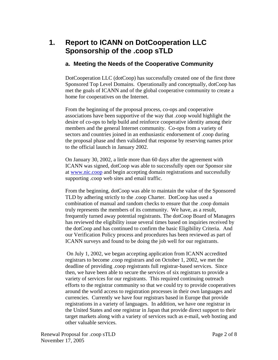### **1. Report to ICANN on DotCooperation LLC Sponsorship of the .coop sTLD**

#### **a. Meeting the Needs of the Cooperative Community**

DotCooperation LLC (dotCoop) has successfully created one of the first three Sponsored Top Level Domains. Operationally and conceptually, dotCoop has met the goals of ICANN and of the global cooperative community to create a home for cooperatives on the Internet.

From the beginning of the proposal process, co-ops and cooperative associations have been supportive of the way that .coop would highlight the desire of co-ops to help build and reinforce cooperative identity among their members and the general Internet community. Co-ops from a variety of sectors and countries joined in an enthusiastic endorsement of .coop during the proposal phase and then validated that response by reserving names prior to the official launch in January 2002.

On January 30, 2002, a little more than 60 days after the agreement with ICANN was signed, dotCoop was able to successfully open our Sponsor site at www.nic.coop and begin accepting domain registrations and successfully supporting .coop web sites and email traffic.

From the beginning, dotCoop was able to maintain the value of the Sponsored TLD by adhering strictly to the .coop Charter. DotCoop has used a combination of manual and random checks to ensure that the .coop domain truly represents the members of its community. We have, as a result, frequently turned away potential registrants. The dotCoop Board of Managers has reviewed the eligibility issue several times based on inquiries received by the dotCoop and has continued to confirm the basic Eligibility Criteria. And our Verification Policy process and procedures has been reviewed as part of ICANN surveys and found to be doing the job well for our registrants.

 On July 1, 2002, we began accepting application from ICANN accredited registrars to become .coop registrars and on October 1, 2002, we met the deadline of providing .coop registrants full registrar-based services. Since then, we have been able to secure the services of six registrars to provide a variety of services for our registrants. This required continuing outreach efforts to the registrar community so that we could try to provide cooperatives around the world access to registration processes in their own languages and currencies. Currently we have four registrars based in Europe that provide registrations in a variety of languages. In addition, we have one registrar in the United States and one registrar in Japan that provide direct support to their target markets along with a variety of services such as e-mail, web hosting and other valuable services.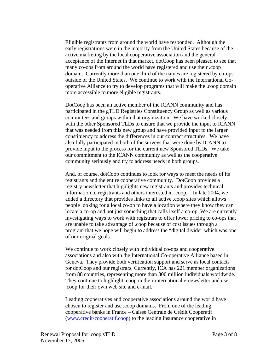Eligible registrants from around the world have responded. Although the early registrations were in the majority from the United States because of the active marketing by the local cooperative association and the general acceptance of the Internet in that market, dotCoop has been pleased to see that many co-ops from around the world have registered and use their .coop domain. Currently more than one third of the names are registered by co-ops outside of the United States. We continue to work with the International Cooperative Alliance to try to develop programs that will make the .coop domain more accessible to more eligible registrants.

DotCoop has been an active member of the ICANN community and has participated in the gTLD Registries Constituency Group as well as various committees and groups within that organization. We have worked closely with the other Sponsored TLDs to ensure that we provide the input to ICANN that was needed from this new group and have provided input to the larger constituency to address the differences in our contract structures. We have also fully participated in both of the surveys that were done by ICANN to provide input to the process for the current new Sponsored TLDs. We take our commitment to the ICANN community as well as the cooperative community seriously and try to address needs in both groups.

And, of course, dotCoop continues to look for ways to meet the needs of its registrants and the entire cooperative community. DotCoop provides a registry newsletter that highlights new registrants and provides technical information to registrants and others interested in .coop. In late 2004, we added a directory that provides links to all active .coop sites which allows people looking for a local co-op to have a location where they know they can locate a co-op and not just something that calls itself a co-op. We are currently investigating ways to work with registrars to offer lower pricing to co-ops that are unable to take advantage of .coop because of cost issues through a program that we hope will begin to address the "digital divide" which was one of our original goals.

We continue to work closely with individual co-ops and cooperative associations and also with the International Co-operative Alliance based in Geneva. They provide both verification support and serve as local contacts for dotCoop and our registrars. Currently, ICA has 221 member organizations from 88 countries, representing more than 800 million individuals worldwide. They continue to highlight .coop in their international e-newsletter and use .coop for their own web site and e-mail.

Leading cooperatives and cooperative associations around the world have chosen to register and use .coop domains. From one of the leading cooperative banks in France – Caisse Centrale de Crédit Coopératif (www.credit-cooperatif.coop) to the leading insurance cooperative in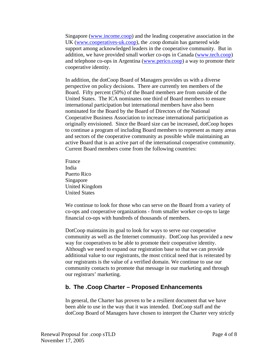Singapore (www.income.coop) and the leading cooperative association in the UK (www.cooperatives-uk.coop), the .coop domain has garnered wide support among acknowledged leaders in the cooperative community. But in addition, we have provided small worker co-ops in Canada (www.tech.coop) and telephone co-ops in Argentina (www.perico.coop) a way to promote their cooperative identity.

In addition, the dotCoop Board of Managers provides us with a diverse perspective on policy decisions. There are currently ten members of the Board. Fifty percent (50%) of the Board members are from outside of the United States. The ICA nominates one third of Board members to ensure international participation but international members have also been nominated for the Board by the Board of Directors of the National Cooperative Business Association to increase international participation as originally envisioned. Since the Board size can be increased, dotCoop hopes to continue a program of including Board members to represent as many areas and sectors of the cooperative community as possible while maintaining an active Board that is an active part of the international cooperative community. Current Board members come from the following countries:

France India Puerto Rico Singapore United Kingdom United States

We continue to look for those who can serve on the Board from a variety of co-ops and cooperative organizations - from smaller worker co-ops to large financial co-ops with hundreds of thousands of members.

DotCoop maintains its goal to look for ways to serve our cooperative community as well as the Internet community. DotCoop has provided a new way for cooperatives to be able to promote their cooperative identity. Although we need to expand our registration base so that we can provide additional value to our registrants, the most critical need that is reiterated by our registrants is the value of a verified domain. We continue to use our community contacts to promote that message in our marketing and through our registrars' marketing.

#### **b. The .Coop Charter – Proposed Enhancements**

In general, the Charter has proven to be a resilient document that we have been able to use in the way that it was intended. DotCoop staff and the dotCoop Board of Managers have chosen to interpret the Charter very strictly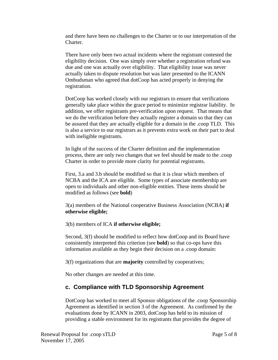and there have been no challenges to the Charter or to our interpretation of the Charter.

There have only been two actual incidents where the registrant contested the eligibility decision. One was simply over whether a registration refund was due and one was actually over eligibility. That eligibility issue was never actually taken to dispute resolution but was later presented to the ICANN Ombudsman who agreed that dotCoop has acted properly in denying the registration.

DotCoop has worked closely with our registrars to ensure that verifications generally take place within the grace period to minimize registrar liability. In addition, we offer registrants pre-verification upon request. That means that we do the verification before they actually register a domain so that they can be assured that they are actually eligible for a domain in the .coop TLD. This is also a service to our registrars as it prevents extra work on their part to deal with ineligible registrants.

In light of the success of the Charter definition and the implementation process, there are only two changes that we feel should be made to the .coop Charter in order to provide more clarity for potential registrants.

First, 3.a and 3.b should be modified so that it is clear which members of NCBA and the ICA are eligible. Some types of associate membership are open to individuals and other non-eligible entities. These items should be modified as follows (see **bold**)

3(a) members of the National cooperative Business Association (NCBA) **if otherwise eligible;** 

3(b) members of ICA **if otherwise eligible;** 

Second, 3(f) should be modified to reflect how dotCoop and its Board have consistently interpreted this criterion (see **bold**) so that co-ops have this information available as they begin their decision on a .coop domain:

3(f) organizations that are **majority** controlled by cooperatives;

No other changes are needed at this time.

#### **c. Compliance with TLD Sponsorship Agreement**

DotCoop has worked to meet all Sponsor obligations of the .coop Sponsorship Agreement as identified in section 3 of the Agreement. As confirmed by the evaluations done by ICANN in 2003, dotCoop has held to its mission of providing a stable environment for its registrants that provides the degree of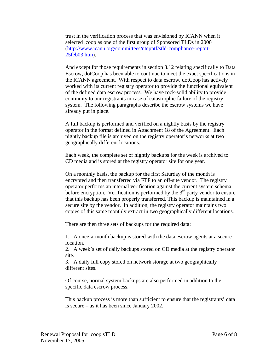trust in the verification process that was envisioned by ICANN when it selected .coop as one of the first group of Sponsored TLDs in 2000 (http://www.icann.org/committees/ntepptf/stld-compliance-report-25feb03.htm).

And except for those requirements in section 3.12 relating specifically to Data Escrow, dotCoop has been able to continue to meet the exact specifications in the ICANN agreement. With respect to data escrow*,* dotCoop has actively worked with its current registry operator to provide the functional equivalent of the defined data escrow process. We have rock-solid ability to provide continuity to our registrants in case of catastrophic failure of the registry system. The following paragraphs describe the escrow systems we have already put in place.

A full backup is performed and verified on a nightly basis by the registry operator in the format defined in Attachment 18 of the Agreement. Each nightly backup file is archived on the registry operator's networks at two geographically different locations.

Each week, the complete set of nightly backups for the week is archived to CD media and is stored at the registry operator site for one year.

On a monthly basis, the backup for the first Saturday of the month is encrypted and then transferred via FTP to an off-site vendor. The registry operator performs an internal verification against the current system schema before encryption. Verification is performed by the  $3<sup>rd</sup>$  party vendor to ensure that this backup has been properly transferred. This backup is maintained in a secure site by the vendor. In addition, the registry operator maintains two copies of this same monthly extract in two geographically different locations.

There are then three sets of backups for the required data:

1. A once-a-month backup is stored with the data escrow agents at a secure location.

2. A week's set of daily backups stored on CD media at the registry operator site.

3. A daily full copy stored on network storage at two geographically different sites.

Of course, normal system backups are also performed in addition to the specific data escrow process.

This backup process is more than sufficient to ensure that the registrants' data is secure – as it has been since January 2002.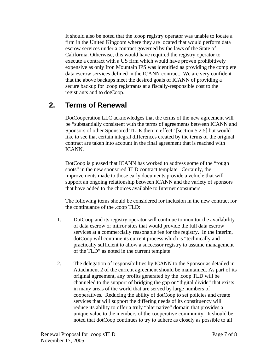It should also be noted that the .coop registry operator was unable to locate a firm in the United Kingdom where they are located that would perform data escrow services under a contract governed by the laws of the State of California. Otherwise, this would have required the registry operator to execute a contract with a US firm which would have proven prohibitively expensive as only Iron Mountain IPS was identified as providing the complete data escrow services defined in the ICANN contract. We are very confident that the above backups meet the desired goals of ICANN of providing a secure backup for .coop registrants at a fiscally-responsible cost to the registrants and to dotCoop.

### **2. Terms of Renewal**

DotCooperation LLC acknowledges that the terms of the new agreement will be "substantially consistent with the terms of agreements between ICANN and Sponsors of other Sponsored TLDs then in effect" [section 5.2.5] but would like to see that certain integral differences created by the terms of the original contract are taken into account in the final agreement that is reached with ICANN.

DotCoop is pleased that ICANN has worked to address some of the "rough spots" in the new sponsored TLD contract template. Certainly, the improvements made to those early documents provide a vehicle that will support an ongoing relationship between ICANN and the variety of sponsors that have added to the choices available to Internet consumers.

The following items should be considered for inclusion in the new contract for the continuance of the .coop TLD:

- 1. DotCoop and its registry operator will continue to monitor the availability of data escrow or mirror sites that would provide the full data escrow services at a commercially reasonable fee for the registry. In the interim, dotCoop will continue its current process which is "technically and practically sufficient to allow a successor registry to assume management of the TLD" as noted in the current template.
- 2. The delegation of responsibilities by ICANN to the Sponsor as detailed in Attachment 2 of the current agreement should be maintained. As part of its original agreement, any profits generated by the .coop TLD will be channeled to the support of bridging the gap or "digital divide" that exists in many areas of the world that are served by large numbers of cooperatives. Reducing the ability of dotCoop to set policies and create services that will support the differing needs of its constituency will reduce its ability to offer a truly "alternative" domain that provides a unique value to the members of the cooperative community. It should be noted that dotCoop continues to try to adhere as closely as possible to all